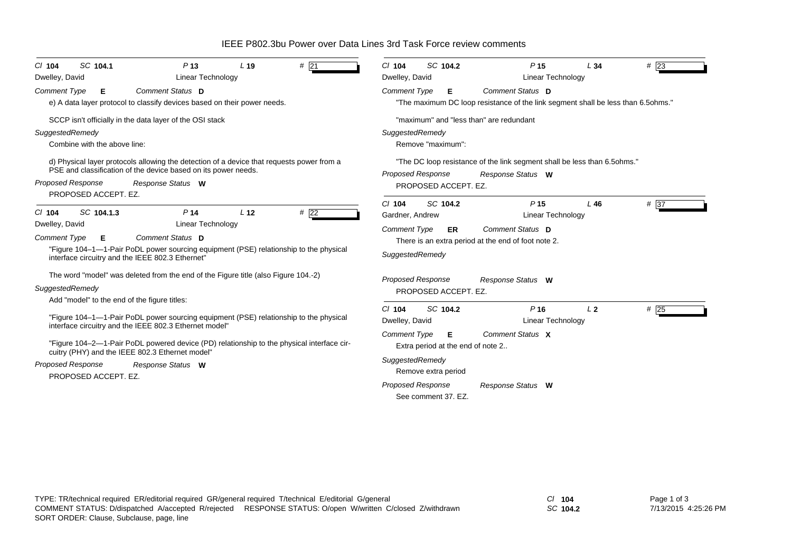IEEE P802.3bu Power over Data Lines 3rd Task Force review comments

| SC 104.1                                                                                                                                                                                                                                                                                                                                                                                                                                    | SC 104.2                                                                                                                                                                                                                                                                                                                                                                                |
|---------------------------------------------------------------------------------------------------------------------------------------------------------------------------------------------------------------------------------------------------------------------------------------------------------------------------------------------------------------------------------------------------------------------------------------------|-----------------------------------------------------------------------------------------------------------------------------------------------------------------------------------------------------------------------------------------------------------------------------------------------------------------------------------------------------------------------------------------|
| #21                                                                                                                                                                                                                                                                                                                                                                                                                                         | #23                                                                                                                                                                                                                                                                                                                                                                                     |
| P <sub>13</sub>                                                                                                                                                                                                                                                                                                                                                                                                                             | $Cl$ 104                                                                                                                                                                                                                                                                                                                                                                                |
| L <sub>19</sub>                                                                                                                                                                                                                                                                                                                                                                                                                             | P <sub>15</sub>                                                                                                                                                                                                                                                                                                                                                                         |
| $CI$ 104                                                                                                                                                                                                                                                                                                                                                                                                                                    | L34                                                                                                                                                                                                                                                                                                                                                                                     |
| Dwelley, David                                                                                                                                                                                                                                                                                                                                                                                                                              | Dwelley, David                                                                                                                                                                                                                                                                                                                                                                          |
| <b>Linear Technology</b>                                                                                                                                                                                                                                                                                                                                                                                                                    | <b>Linear Technology</b>                                                                                                                                                                                                                                                                                                                                                                |
| Comment Status D                                                                                                                                                                                                                                                                                                                                                                                                                            | Comment Status D                                                                                                                                                                                                                                                                                                                                                                        |
| <b>Comment Type</b>                                                                                                                                                                                                                                                                                                                                                                                                                         | <b>Comment Type</b>                                                                                                                                                                                                                                                                                                                                                                     |
| Е                                                                                                                                                                                                                                                                                                                                                                                                                                           | Е                                                                                                                                                                                                                                                                                                                                                                                       |
| e) A data layer protocol to classify devices based on their power needs.                                                                                                                                                                                                                                                                                                                                                                    | "The maximum DC loop resistance of the link segment shall be less than 6.5ohms."                                                                                                                                                                                                                                                                                                        |
| SCCP isn't officially in the data layer of the OSI stack                                                                                                                                                                                                                                                                                                                                                                                    | "maximum" and "less than" are redundant                                                                                                                                                                                                                                                                                                                                                 |
| SuggestedRemedy                                                                                                                                                                                                                                                                                                                                                                                                                             | SuggestedRemedy                                                                                                                                                                                                                                                                                                                                                                         |
| Combine with the above line:                                                                                                                                                                                                                                                                                                                                                                                                                | Remove "maximum":                                                                                                                                                                                                                                                                                                                                                                       |
| d) Physical layer protocols allowing the detection of a device that requests power from a                                                                                                                                                                                                                                                                                                                                                   | "The DC loop resistance of the link segment shall be less than 6.5 ohms."                                                                                                                                                                                                                                                                                                               |
| PSE and classification of the device based on its power needs.                                                                                                                                                                                                                                                                                                                                                                              | <b>Proposed Response</b>                                                                                                                                                                                                                                                                                                                                                                |
| <b>Proposed Response</b>                                                                                                                                                                                                                                                                                                                                                                                                                    | Response Status W                                                                                                                                                                                                                                                                                                                                                                       |
| Response Status W                                                                                                                                                                                                                                                                                                                                                                                                                           | PROPOSED ACCEPT. EZ.                                                                                                                                                                                                                                                                                                                                                                    |
| PROPOSED ACCEPT. EZ.<br>#22<br>SC 104.1.3<br>L <sub>12</sub><br>P <sub>14</sub><br>$CI$ 104<br>Linear Technology<br>Dwelley, David<br>Comment Status D<br><b>Comment Type</b><br>Е.<br>"Figure 104-1-1-Pair PoDL power sourcing equipment (PSE) relationship to the physical<br>interface circuitry and the IEEE 802.3 Ethernet"<br>The word "model" was deleted from the end of the Figure title (also Figure 104.-2)                      | SC 104.2<br># 37<br>$Cl$ 104<br>P <sub>15</sub><br>L46<br>Gardner, Andrew<br><b>Linear Technology</b><br>Comment Status D<br><b>Comment Type</b><br>ER<br>There is an extra period at the end of foot note 2.<br>SuggestedRemedy                                                                                                                                                        |
| SuggestedRemedy<br>Add "model" to the end of the figure titles:<br>"Figure 104-1-1-Pair PoDL power sourcing equipment (PSE) relationship to the physical<br>interface circuitry and the IEEE 802.3 Ethernet model"<br>"Figure 104–2—1-Pair PoDL powered device (PD) relationship to the physical interface cir-<br>cuitry (PHY) and the IEEE 802.3 Ethernet model"<br><b>Proposed Response</b><br>Response Status W<br>PROPOSED ACCEPT. EZ. | <b>Proposed Response</b><br>Response Status W<br>PROPOSED ACCEPT. EZ.<br>#25<br>$Cl$ 104<br>SC 104.2<br>P <sub>16</sub><br>L <sub>2</sub><br>Dwelley, David<br>Linear Technology<br>Comment Status X<br><b>Comment Type</b><br>Е<br>Extra period at the end of note 2<br>SuggestedRemedy<br>Remove extra period<br><b>Proposed Response</b><br>Response Status W<br>See comment 37, EZ. |

*SC* **104.2**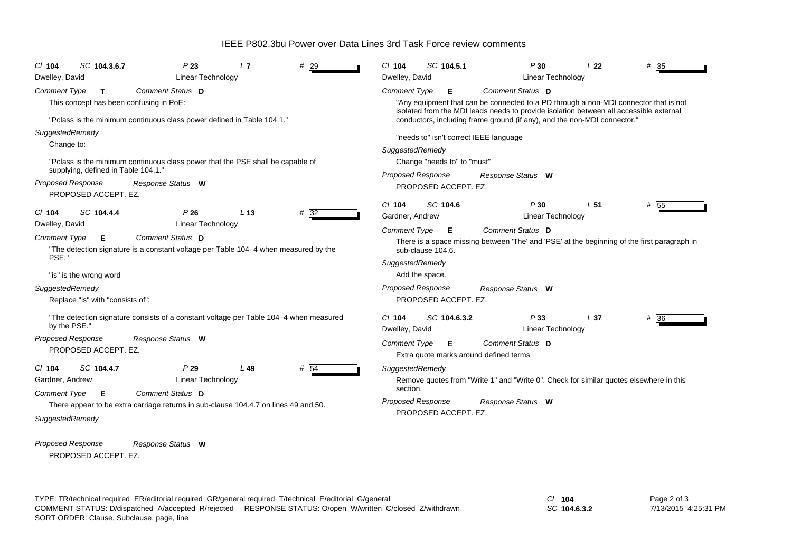IEEE P802.3bu Power over Data Lines 3rd Task Force review comments

| SC 104.3.6.7<br>P23<br>L7<br>$#$ 29<br>$CI$ 104<br>Dwelley, David<br>Linear Technology                                              | $Cl$ 104<br>SC 104.5.1<br>P30<br>L <sub>22</sub><br># 35<br>Dwelley, David<br><b>Linear Technology</b>                                                                         |
|-------------------------------------------------------------------------------------------------------------------------------------|--------------------------------------------------------------------------------------------------------------------------------------------------------------------------------|
| Comment Status D<br><b>Comment Type</b><br>$\mathbf{T}$                                                                             | Comment Status D<br><b>Comment Type</b><br>Е                                                                                                                                   |
| This concept has been confusing in PoE:                                                                                             | "Any equipment that can be connected to a PD through a non-MDI connector that is not<br>isolated from the MDI leads needs to provide isolation between all accessible external |
| "Pclass is the minimum continuous class power defined in Table 104.1."                                                              | conductors, including frame ground (if any), and the non-MDI connector."                                                                                                       |
| SuggestedRemedy                                                                                                                     | "needs to" isn't correct IEEE language                                                                                                                                         |
| Change to:                                                                                                                          | SuggestedRemedy                                                                                                                                                                |
| "Pclass is the minimum continuous class power that the PSE shall be capable of                                                      | Change "needs to" to "must"                                                                                                                                                    |
| supplying, defined in Table 104.1."                                                                                                 | <b>Proposed Response</b><br>Response Status W                                                                                                                                  |
| <b>Proposed Response</b><br>Response Status W<br>PROPOSED ACCEPT. EZ.                                                               | PROPOSED ACCEPT. EZ.                                                                                                                                                           |
|                                                                                                                                     | SC 104.6<br># 55<br>P30<br>$Cl$ 104<br>L <sub>51</sub>                                                                                                                         |
| SC 104.4.4<br>P26<br>L <sub>13</sub><br>$#$ 32<br>$CI$ 104                                                                          | <b>Linear Technology</b><br>Gardner, Andrew                                                                                                                                    |
| <b>Linear Technology</b><br>Dwelley, David                                                                                          | Comment Status D<br><b>Comment Type</b><br>Е                                                                                                                                   |
| <b>Comment Type</b><br>Comment Status D<br>Е<br>"The detection signature is a constant voltage per Table 104-4 when measured by the | There is a space missing between 'The' and 'PSE' at the beginning of the first paragraph in<br>sub-clause 104.6.                                                               |
| PSE."                                                                                                                               | SuggestedRemedy                                                                                                                                                                |
| "is" is the wrong word                                                                                                              | Add the space.                                                                                                                                                                 |
| SuggestedRemedy                                                                                                                     | <b>Proposed Response</b><br>Response Status W                                                                                                                                  |
| Replace "is" with "consists of":                                                                                                    | PROPOSED ACCEPT. EZ.                                                                                                                                                           |
| "The detection signature consists of a constant voltage per Table 104–4 when measured<br>by the PSE."                               | # 36<br>$Cl$ 104<br>SC 104.6.3.2<br>P33<br>L 37                                                                                                                                |
| <b>Proposed Response</b><br>Response Status W                                                                                       | Linear Technology<br>Dwelley, David                                                                                                                                            |
| PROPOSED ACCEPT. EZ.                                                                                                                | Comment Status D<br><b>Comment Type</b><br>E<br>Extra quote marks around defined terms                                                                                         |
| # 54<br>$CI$ 104<br>SC 104.4.7<br>P29<br>$L$ 49                                                                                     | SuggestedRemedy                                                                                                                                                                |
| Linear Technology<br>Gardner, Andrew                                                                                                | Remove quotes from "Write 1" and "Write 0". Check for similar quotes elsewhere in this                                                                                         |
| Comment Status D<br><b>Comment Type</b><br>Е                                                                                        | section.<br><b>Proposed Response</b>                                                                                                                                           |
| There appear to be extra carriage returns in sub-clause 104.4.7 on lines 49 and 50.                                                 | Response Status W<br>PROPOSED ACCEPT. EZ.                                                                                                                                      |
| SuggestedRemedy                                                                                                                     |                                                                                                                                                                                |
| <b>Proposed Response</b><br>Response Status W                                                                                       |                                                                                                                                                                                |
| PROPOSED ACCEPT. EZ.                                                                                                                |                                                                                                                                                                                |

TYPE: TR/technical required ER/editorial required GR/general required T/technical E/editorial G/general *Cl* **104** SORT ORDER: Clause, Subclause, page, line COMMENT STATUS: D/dispatched A/accepted R/rejected RESPONSE STATUS: O/open W/written C/closed Z/withdrawn

*SC* **104.6.3.2**

Page 2 of 3 7/13/2015 4:25:31 PM